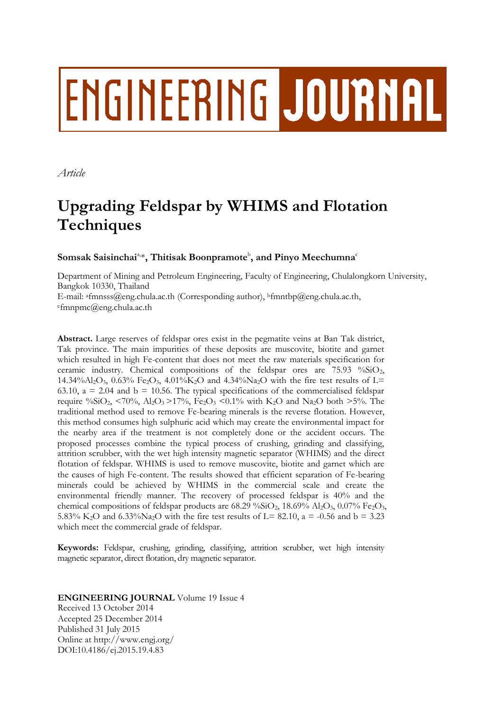# **ENGINEERING JOURNAL**

*Article*

# **Upgrading Feldspar by WHIMS and Flotation Techniques**

 $\mathbf{Somsak}\ \mathbf{Saisinchai^{\mathbf{a},\mathbf{s}}},\ \mathbf{Thitisak}\ \mathbf{Boonpramote}^{\mathbf{b}},\ \mathbf{and}\ \mathbf{Pinyo}\ \mathbf{Meechumna^{\mathbf{c}}}$ 

Department of Mining and Petroleum Engineering, Faculty of Engineering, Chulalongkorn University, Bangkok 10330, Thailand E-mail: afmnsss@eng.chula.ac.th (Corresponding author), <sup>b</sup>fmntbp@eng.chula.ac.th, <sup>c</sup>fmnpmc@eng.chula.ac.th

**Abstract.** Large reserves of feldspar ores exist in the pegmatite veins at Ban Tak district, Tak province. The main impurities of these deposits are muscovite, biotite and garnet which resulted in high Fe-content that does not meet the raw materials specification for ceramic industry. Chemical compositions of the feldspar ores are 75.93 %SiO<sub>2</sub>, 14.34% $A_2O_3$ , 0.63% Fe<sub>2</sub>O<sub>3</sub>, 4.01% $K_2O$  and 4.34% $N_{a2}O$  with the fire test results of L= 63.10,  $a = 2.04$  and  $b = 10.56$ . The typical specifications of the commercialised feldspar require %SiO<sub>2</sub>, <70%, Al<sub>2</sub>O<sub>3</sub> > 17%, Fe<sub>2</sub>O<sub>3</sub> <0.1% with K<sub>2</sub>O and Na<sub>2</sub>O both > 5%. The traditional method used to remove Fe-bearing minerals is the reverse flotation. However, this method consumes high sulphuric acid which may create the environmental impact for the nearby area if the treatment is not completely done or the accident occurs. The proposed processes combine the typical process of crushing, grinding and classifying, attrition scrubber, with the wet high intensity magnetic separator (WHIMS) and the direct flotation of feldspar. WHIMS is used to remove muscovite, biotite and garnet which are the causes of high Fe-content. The results showed that efficient separation of Fe-bearing minerals could be achieved by WHIMS in the commercial scale and create the environmental friendly manner. The recovery of processed feldspar is 40% and the chemical compositions of feldspar products are  $68.29\%$ SiO<sub>2</sub>,  $18.69\%$  Al<sub>2</sub>O<sub>3</sub>,  $0.07\%$  Fe<sub>2</sub>O<sub>3</sub>, 5.83% K<sub>2</sub>O and 6.33%Na<sub>2</sub>O with the fire test results of L= 82.10, a = -0.56 and b = 3.23 which meet the commercial grade of feldspar.

**Keywords:** Feldspar, crushing, grinding, classifying, attrition scrubber, wet high intensity magnetic separator, direct flotation, dry magnetic separator.

**ENGINEERING JOURNAL** Volume 19 Issue 4 Received 13 October 2014 Accepted 25 December 2014 Published 31 July 2015 Online at http://www.engj.org/ DOI:10.4186/ej.2015.19.4.83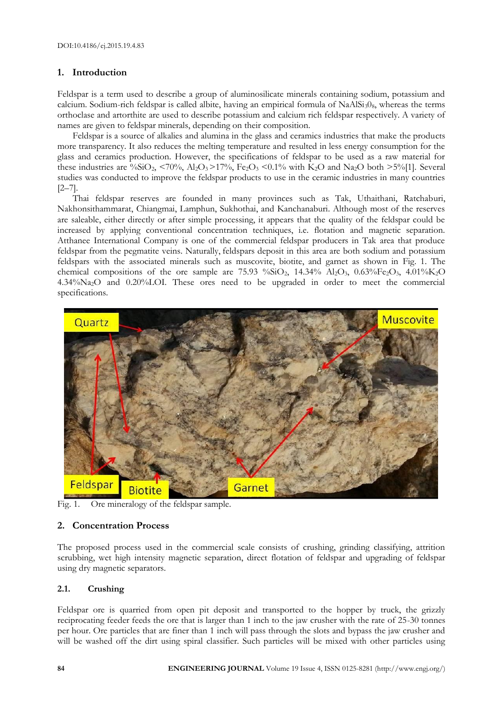# **1. Introduction**

Feldspar is a term used to describe a group of aluminosilicate minerals containing sodium, potassium and calcium. Sodium-rich feldspar is called albite, having an empirical formula of NaAlSi<sub>3</sub>0<sub>8</sub>, whereas the terms orthoclase and artorthite are used to describe potassium and calcium rich feldspar respectively. A variety of names are given to feldspar minerals, depending on their composition.

Feldspar is a source of alkalies and alumina in the glass and ceramics industries that make the products more transparency. It also reduces the melting temperature and resulted in less energy consumption for the glass and ceramics production. However, the specifications of feldspar to be used as a raw material for these industries are %SiO<sub>2</sub>, <70%, Al<sub>2</sub>O<sub>3</sub> > 17%, Fe<sub>2</sub>O<sub>3</sub> <0.1% with K<sub>2</sub>O and Na<sub>2</sub>O both >5%[1]. Several studies was conducted to improve the feldspar products to use in the ceramic industries in many countries  $[2-7]$ .

Thai feldspar reserves are founded in many provinces such as Tak, Uthaithani, Ratchaburi, Nakhonsithammarat, Chiangmai, Lamphun, Sukhothai, and Kanchanaburi. Although most of the reserves are saleable, either directly or after simple processing, it appears that the quality of the feldspar could be increased by applying conventional concentration techniques, i.e. flotation and magnetic separation. Atthanee International Company is one of the commercial feldspar producers in Tak area that produce feldspar from the pegmatite veins. Naturally, feldspars deposit in this area are both sodium and potassium feldspars with the associated minerals such as muscovite, biotite, and garnet as shown in Fig. 1. The chemical compositions of the ore sample are 75.93 %SiO<sub>2</sub>, 14.34% Al<sub>2</sub>O<sub>3</sub>, 0.63%Fe<sub>2</sub>O<sub>3</sub>, 4.01%K<sub>2</sub>O 4.34%Na2O and 0.20%LOI. These ores need to be upgraded in order to meet the commercial specifications.



Fig. 1. Ore mineralogy of the feldspar sample.

# **2. Concentration Process**

The proposed process used in the commercial scale consists of crushing, grinding classifying, attrition scrubbing, wet high intensity magnetic separation, direct flotation of feldspar and upgrading of feldspar using dry magnetic separators.

# **2.1. Crushing**

Feldspar ore is quarried from open pit deposit and transported to the hopper by truck, the grizzly reciprocating feeder feeds the ore that is larger than 1 inch to the jaw crusher with the rate of 25-30 tonnes per hour. Ore particles that are finer than 1 inch will pass through the slots and bypass the jaw crusher and will be washed off the dirt using spiral classifier. Such particles will be mixed with other particles using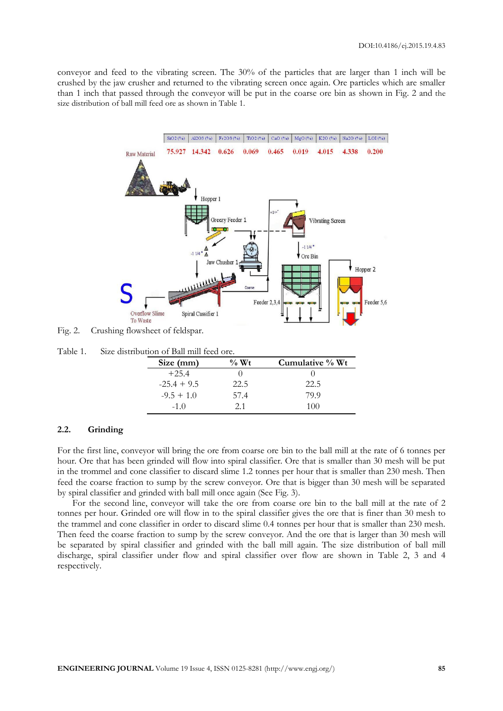conveyor and feed to the vibrating screen. The 30% of the particles that are larger than 1 inch will be crushed by the jaw crusher and returned to the vibrating screen once again. Ore particles which are smaller than 1 inch that passed through the conveyor will be put in the coarse ore bin as shown in Fig. 2 and the size distribution of ball mill feed ore as shown in Table 1.



Fig. 2. Crushing flowsheet of feldspar.

Table 1. Size distribution of Ball mill feed ore.

| Size (mm)     | $\%$ Wt | Cumulative % Wt |
|---------------|---------|-----------------|
| $+25.4$       |         |                 |
| $-25.4 + 9.5$ | 22.5    | 22.5            |
| $-9.5 + 1.0$  | 57.4    | 79.9            |
| $-1.0$        | 2.1     | 100             |

#### **2.2. Grinding**

For the first line, conveyor will bring the ore from coarse ore bin to the ball mill at the rate of 6 tonnes per hour. Ore that has been grinded will flow into spiral classifier. Ore that is smaller than 30 mesh will be put in the trommel and cone classifier to discard slime 1.2 tonnes per hour that is smaller than 230 mesh. Then feed the coarse fraction to sump by the screw conveyor. Ore that is bigger than 30 mesh will be separated by spiral classifier and grinded with ball mill once again (See Fig. 3).

For the second line, conveyor will take the ore from coarse ore bin to the ball mill at the rate of 2 tonnes per hour. Grinded ore will flow in to the spiral classifier gives the ore that is finer than 30 mesh to the trammel and cone classifier in order to discard slime 0.4 tonnes per hour that is smaller than 230 mesh. Then feed the coarse fraction to sump by the screw conveyor. And the ore that is larger than 30 mesh will be separated by spiral classifier and grinded with the ball mill again. The size distribution of ball mill discharge, spiral classifier under flow and spiral classifier over flow are shown in Table 2, 3 and 4 respectively.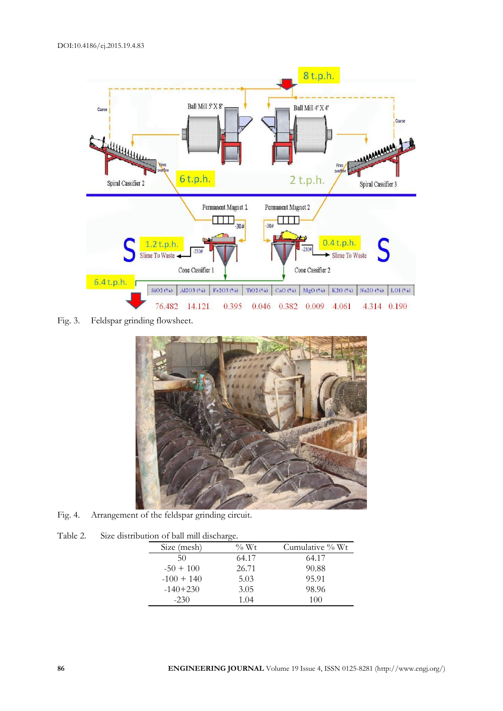

Fig. 3. Feldspar grinding flowsheet.



Fig. 4. Arrangement of the feldspar grinding circuit.

Table 2. Size distribution of ball mill discharge.

| Size (mesh)  | $\%$ Wt | Cumulative % Wt |  |
|--------------|---------|-----------------|--|
| 50           | 64.17   | 64.17           |  |
| $-50 + 100$  | 26.71   | 90.88           |  |
| $-100 + 140$ | 5.03    | 95.91           |  |
| $-140+230$   | 3.05    | 98.96           |  |
| $-230$       | 1.04    | 100             |  |
|              |         |                 |  |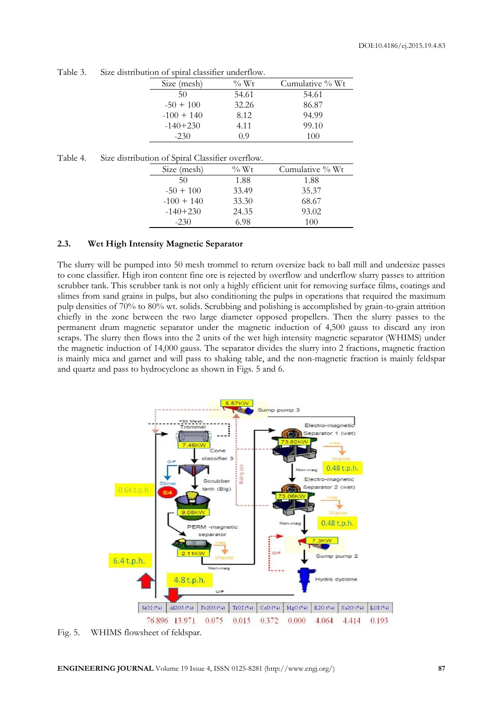| Size (mesh)  | $\%$ Wt | Cumulative % Wt |  |  |
|--------------|---------|-----------------|--|--|
| 50           | 54.61   | 54.61           |  |  |
| $-50 + 100$  | 32.26   | 86.87           |  |  |
| $-100 + 140$ | 8.12    | 94.99           |  |  |
| $-140+230$   | 4.11    | 99.10           |  |  |
| $-230$       | 09      | 100             |  |  |

Table 3. Size distribution of spiral classifier underflow.

Table 4. Size distribution of Spiral Classifier overflow.

| Size (mesh)  | $\%$ Wt | Cumulative % Wt |
|--------------|---------|-----------------|
| 50           | 1.88    | 1.88            |
| $-50 + 100$  | 33.49   | 35.37           |
| $-100 + 140$ | 33.30   | 68.67           |
| $-140+230$   | 24.35   | 93.02           |
| $-230$       | 6.98    | 100             |

#### **2.3. Wet High Intensity Magnetic Separator**

The slurry will be pumped into 50 mesh trommel to return oversize back to ball mill and undersize passes to cone classifier. High iron content fine ore is rejected by overflow and underflow slurry passes to attrition scrubber tank. This scrubber tank is not only a highly efficient unit for removing surface films, coatings and slimes from sand grains in pulps, but also conditioning the pulps in operations that required the maximum pulp densities of 70% to 80% wt. solids. Scrubbing and polishing is accomplished by grain-to-grain attrition chiefly in the zone between the two large diameter opposed propellers. Then the slurry passes to the permanent drum magnetic separator under the magnetic induction of 4,500 gauss to discard any iron scraps. The slurry then flows into the 2 units of the wet high intensity magnetic separator (WHIMS) under the magnetic induction of 14,000 gauss. The separator divides the slurry into 2 fractions, magnetic fraction is mainly mica and garnet and will pass to shaking table, and the non-magnetic fraction is mainly feldspar and quartz and pass to hydrocyclone as shown in Figs. 5 and 6.



Fig. 5. WHIMS flowsheet of feldspar.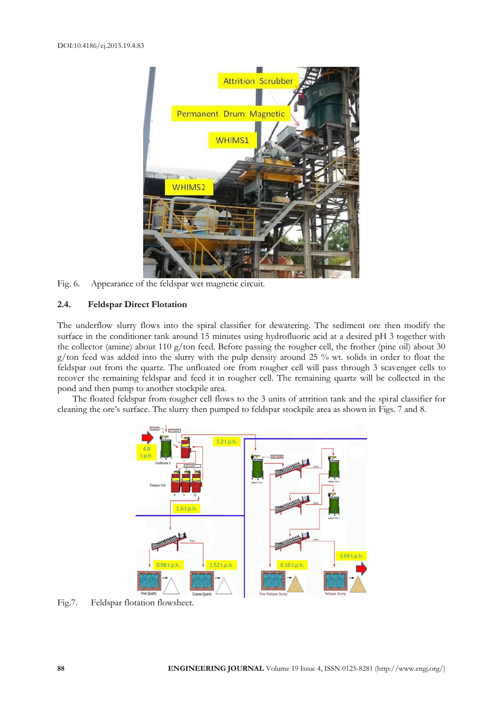

Fig. 6. Appearance of the feldspar wet magnetic circuit.

#### **2.4. Feldspar Direct Flotation**

The underflow slurry flows into the spiral classifier for dewatering. The sediment ore then modify the surface in the conditioner tank around 15 minutes using hydrofluoric acid at a desired pH 3 together with the collector (amine) about 110 g/ton feed. Before passing the rougher cell, the frother (pine oil) about 30  $g$ /ton feed was added into the slurry with the pulp density around 25 % wt. solids in order to float the feldspar out from the quartz. The unfloated ore from rougher cell will pass through 3 scavenger cells to recover the remaining feldspar and feed it in rougher cell. The remaining quartz will be collected in the pond and then pump to another stockpile area.

The floated feldspar from rougher cell flows to the 3 units of attrition tank and the spiral classifier for cleaning the ore's surface. The slurry then pumped to feldspar stockpile area as shown in Figs. 7 and 8.



Fig.7. Feldspar flotation flowsheet.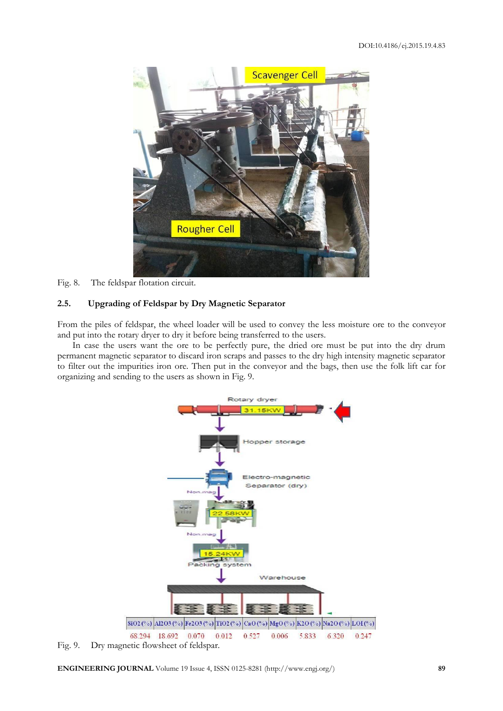

# Fig. 8. The feldspar flotation circuit.

#### **2.5. Upgrading of Feldspar by Dry Magnetic Separator**

From the piles of feldspar, the wheel loader will be used to convey the less moisture ore to the conveyor and put into the rotary dryer to dry it before being transferred to the users.

In case the users want the ore to be perfectly pure, the dried ore must be put into the dry drum permanent magnetic separator to discard iron scraps and passes to the dry high intensity magnetic separator to filter out the impurities iron ore. Then put in the conveyor and the bags, then use the folk lift car for organizing and sending to the users as shown in Fig. 9.



Fig. 9. Dry magnetic flowsheet of feldspar.

**ENGINEERING JOURNAL** Volume 19 Issue 4, ISSN 0125-8281 (http://www.engj.org/) **89**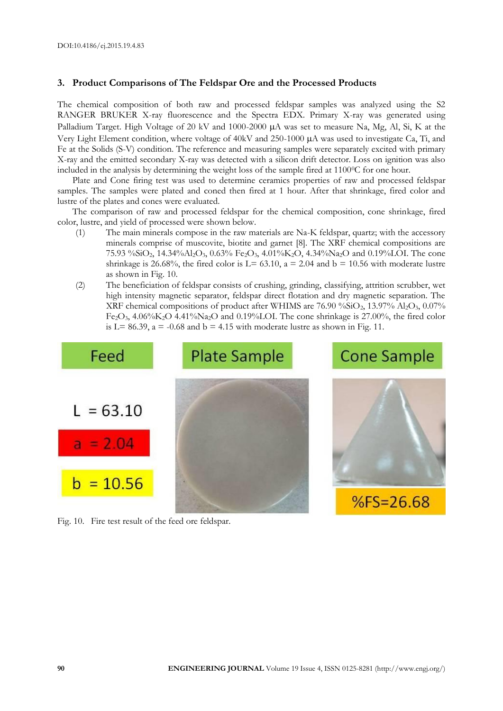# **3. Product Comparisons of The Feldspar Ore and the Processed Products**

The chemical composition of both raw and processed feldspar samples was analyzed using the S2 RANGER BRUKER X-ray fluorescence and the Spectra EDX. Primary X-ray was generated using Palladium Target. High Voltage of 20 kV and 1000-2000  $\mu$ A was set to measure Na, Mg, Al, Si, K at the Very Light Element condition, where voltage of 40kV and 250-1000  $\mu$ A was used to investigate Ca, Ti, and Fe at the Solids (S-V) condition. The reference and measuring samples were separately excited with primary X-ray and the emitted secondary X-ray was detected with a silicon drift detector. Loss on ignition was also included in the analysis by determining the weight loss of the sample fired at 11000C for one hour.

Plate and Cone firing test was used to determine ceramics properties of raw and processed feldspar samples. The samples were plated and coned then fired at 1 hour. After that shrinkage, fired color and lustre of the plates and cones were evaluated.

The comparison of raw and processed feldspar for the chemical composition, cone shrinkage, fired color, lustre, and yield of processed were shown below.

- (1) The main minerals compose in the raw materials are Na-K feldspar, quartz; with the accessory minerals comprise of muscovite, biotite and garnet [8]. The XRF chemical compositions are 75.93 %SiO2, 14.34%Al2O3, 0.63% Fe2O3, 4.01%K2O, 4.34%Na2O and 0.19%LOI. The cone shrinkage is 26.68%, the fired color is  $L = 63.10$ ,  $a = 2.04$  and  $b = 10.56$  with moderate lustre as shown in Fig. 10.
- (2) The beneficiation of feldspar consists of crushing, grinding, classifying, attrition scrubber, wet high intensity magnetic separator, feldspar direct flotation and dry magnetic separation. The XRF chemical compositions of product after WHIMS are 76.90 %SiO2, 13.97% Al2O3, 0.07% Fe2O3, 4.06%K2O 4.41%Na2O and 0.19%LOI. The cone shrinkage is 27.00%, the fired color is L= 86.39,  $a = -0.68$  and  $b = 4.15$  with moderate lustre as shown in Fig. 11.



Fig. 10. Fire test result of the feed ore feldspar.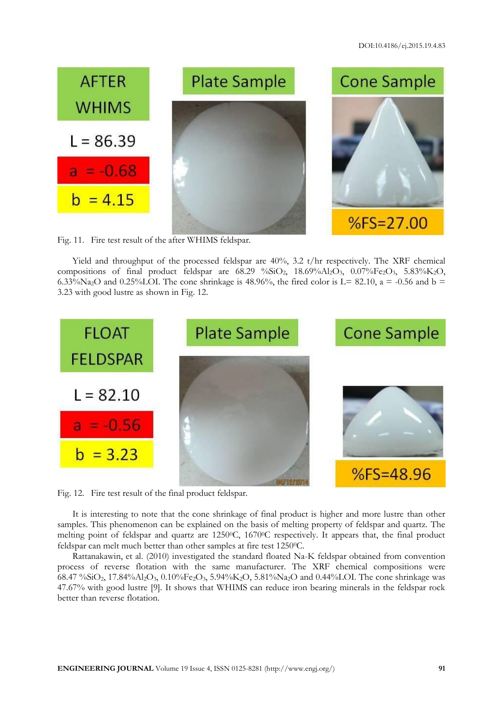

Fig. 11. Fire test result of the after WHIMS feldspar.

Yield and throughput of the processed feldspar are 40%, 3.2 t/hr respectively. The XRF chemical compositions of final product feldspar are  $68.29\% SiO_2$ ,  $18.69\% Al_2O_3$ ,  $0.07\% Fe_2O_3$ ,  $5.83\% K_2O$ , 6.33%Na<sub>2</sub>O and 0.25%LOI. The cone shrinkage is 48.96%, the fired color is L= 82.10, a = -0.56 and b = 3.23 with good lustre as shown in Fig. 12.



Fig. 12. Fire test result of the final product feldspar.

It is interesting to note that the cone shrinkage of final product is higher and more lustre than other samples. This phenomenon can be explained on the basis of melting property of feldspar and quartz. The melting point of feldspar and quartz are 1250°C, 1670°C respectively. It appears that, the final product feldspar can melt much better than other samples at fire test 1250°C.

Rattanakawin, et al. (2010) investigated the standard floated Na-K feldspar obtained from convention process of reverse flotation with the same manufacturer. The XRF chemical compositions were 68.47 %SiO2, 17.84%Al2O3, 0.10%Fe2O3, 5.94%K2O, 5.81%Na2O and 0.44%LOI. The cone shrinkage was 47.67% with good lustre [9]. It shows that WHIMS can reduce iron bearing minerals in the feldspar rock better than reverse flotation.